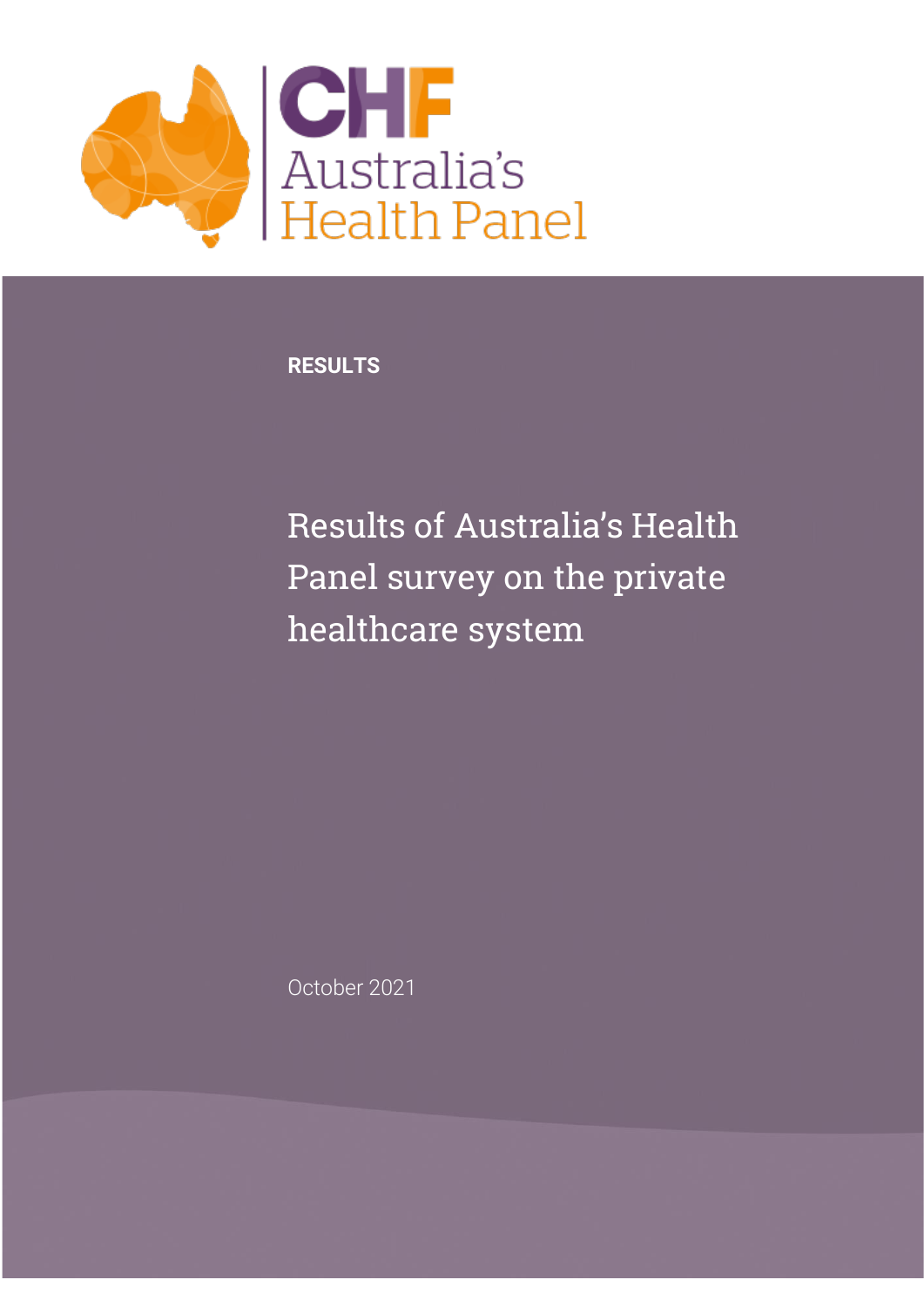

**RESULTS**

Results of Australia's Health Panel survey on the private healthcare system

October 2021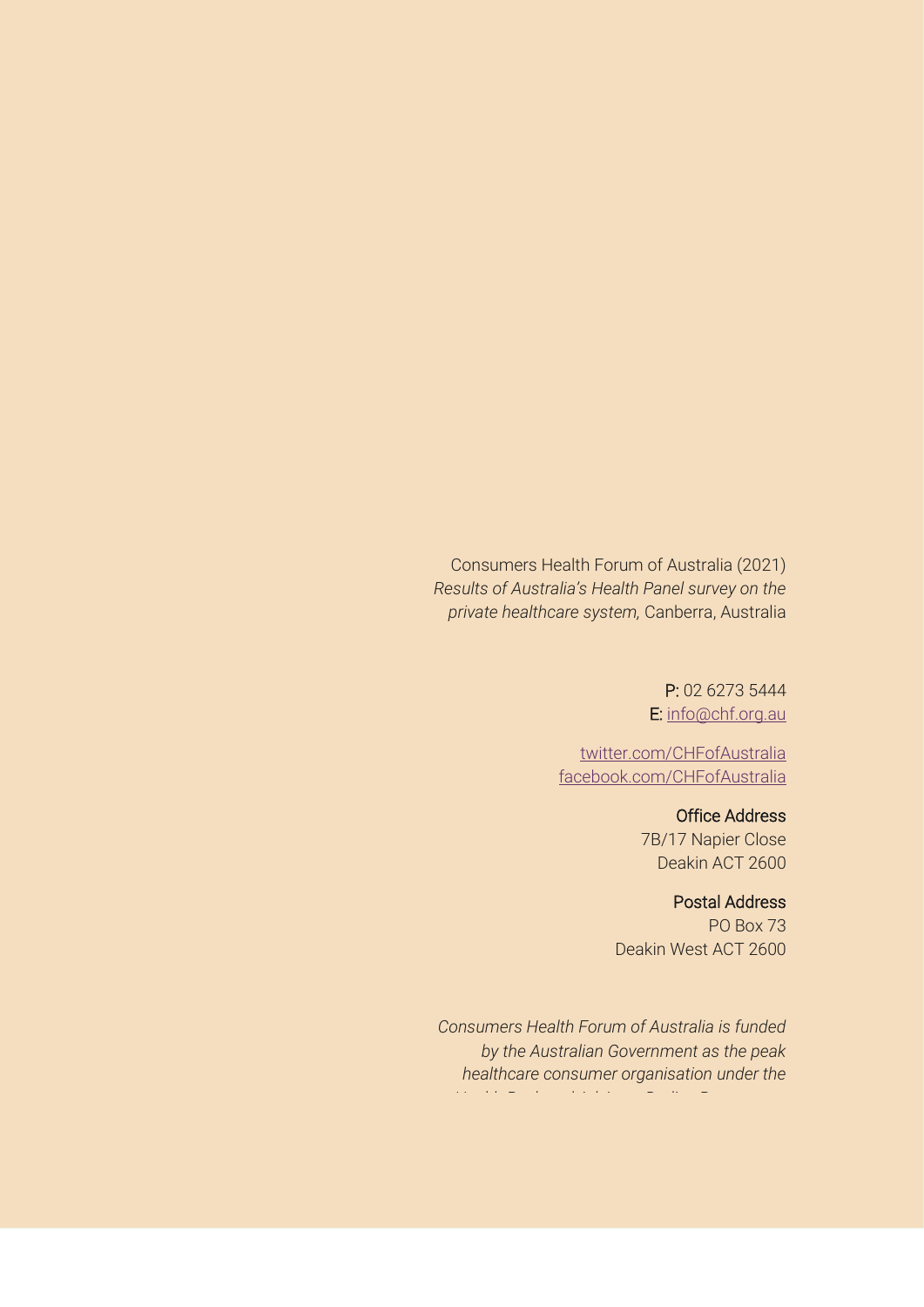Consumers Health Forum of Australia (2021) *Results of Australia's Health Panel survey on the private healthcare system,* Canberra, Australia

> P: 02 6273 5444 E: [info@chf.org.au](mailto:info@chf.org.au)

[twitter.com/CHFofAustralia](http://twitter.com/CHFofAustralia)  [facebook.com/CHFofAustralia](http://facebook.com/CHFofAustralia)

> Office Address 7B/17 Napier Close Deakin ACT 2600

#### Postal Address

PO Box 73 Deakin West ACT 2600

*Consumers Health Forum of Australia is funded by the Australian Government as the peak healthcare consumer organisation under the Health Peak and Advisory Bodies Programme*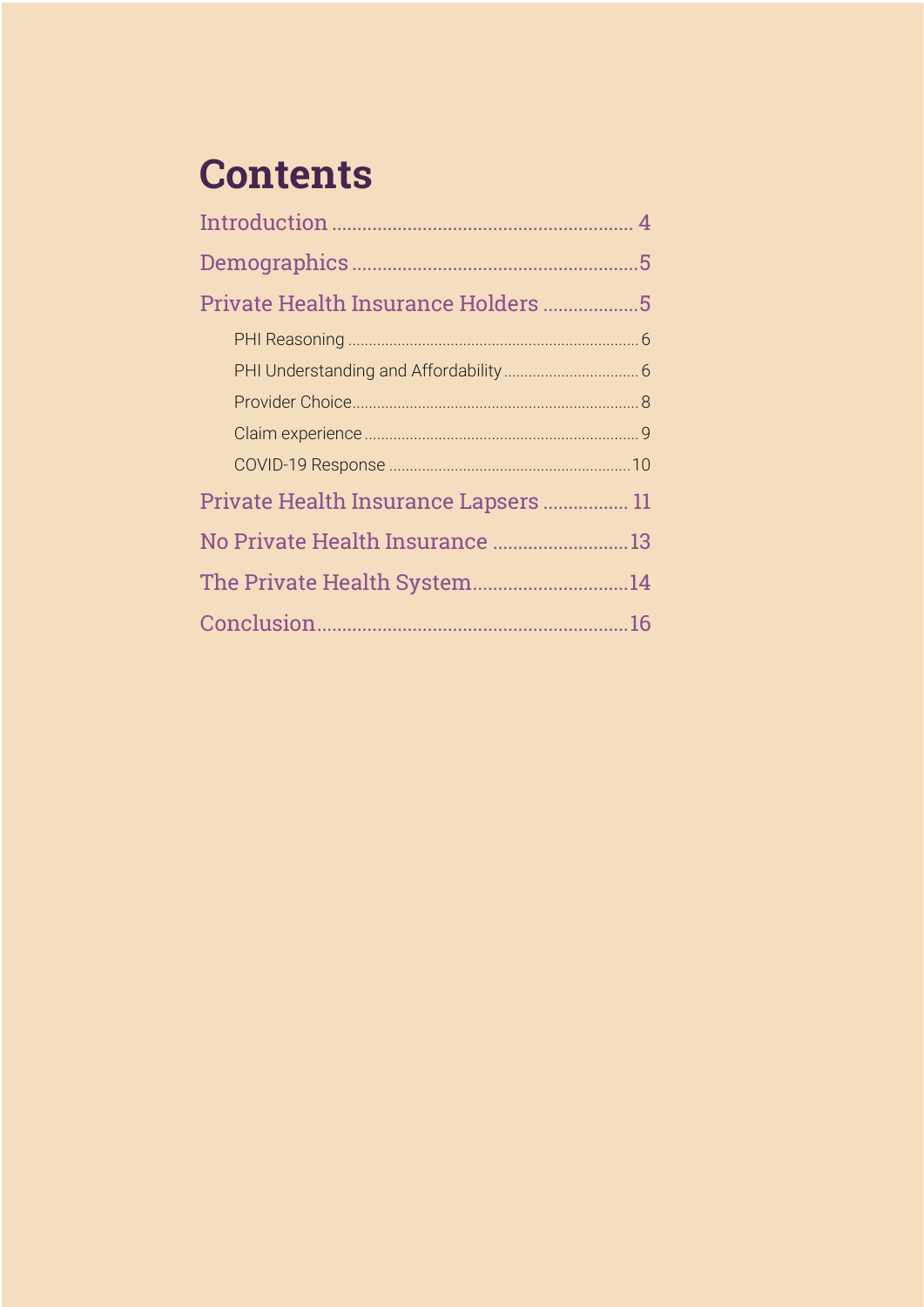# **Contents**

| Private Health Insurance Holders 5   |  |
|--------------------------------------|--|
|                                      |  |
|                                      |  |
|                                      |  |
|                                      |  |
|                                      |  |
| Private Health Insurance Lapsers  11 |  |
| No Private Health Insurance  13      |  |
| The Private Health System14          |  |
|                                      |  |
|                                      |  |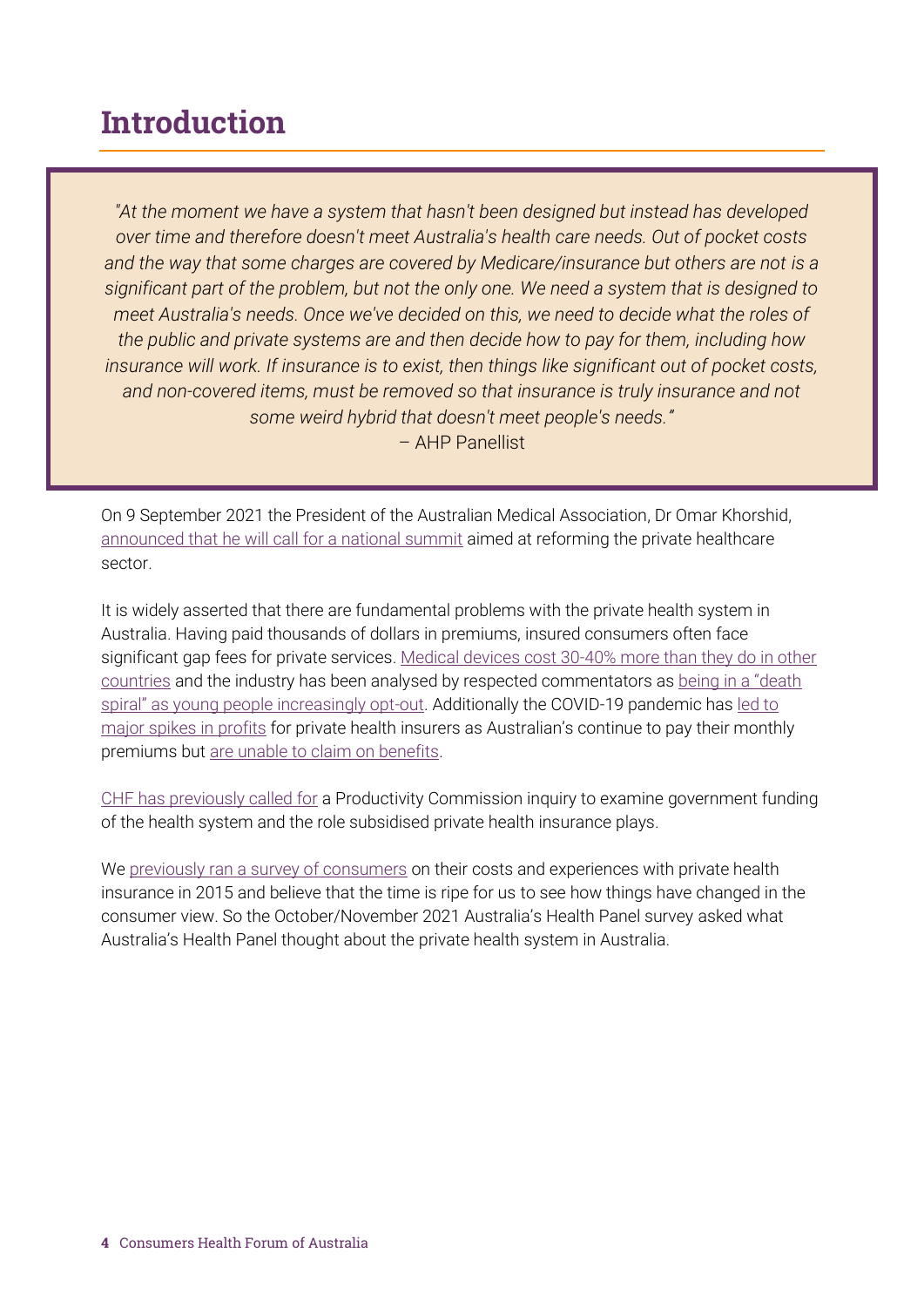### <span id="page-3-0"></span>Introduction

*"At the moment we have a system that hasn't been designed but instead has developed over time and therefore doesn't meet Australia's health care needs. Out of pocket costs and the way that some charges are covered by Medicare/insurance but others are not is a significant part of the problem, but not the only one. We need a system that is designed to meet Australia's needs. Once we've decided on this, we need to decide what the roles of the public and private systems are and then decide how to pay for them, including how insurance will work. If insurance is to exist, then things like significant out of pocket costs, and non-covered items, must be removed so that insurance is truly insurance and not some weird hybrid that doesn't meet people's needs."*

– AHP Panellist

On 9 September 2021 the President of the Australian Medical Association, Dr Omar Khorshid, [announced that he will call for a national summit](https://www.ama.com.au/ama-rounds/10-september-2021/articles/time-right-significant-private-health-reforms) aimed at reforming the private healthcare sector.

It is widely asserted that there are fundamental problems with the private health system in Australia. Having paid thousands of dollars in premiums, insured consumers often face significant gap fees for private services. [Medical devices cost 30-40% more than they do in other](https://www.privatehealthcareaustralia.org.au/about-us/advocacy/prostheses-reform/)  [countries](https://www.privatehealthcareaustralia.org.au/about-us/advocacy/prostheses-reform/) and the industry has been analysed by respected commentators as [being in a "death](https://grattan.edu.au/news/private-health-insurance-death-spiral-continues/)  spiral" as y[oung people increasingly opt-out.](https://grattan.edu.au/news/private-health-insurance-death-spiral-continues/) Additionally the COVID-19 pandemic has [led to](https://www.insurancebusinessmag.com/au/news/breaking-news/private-health-insurance-sector-sees-profitability-improve-302562.aspx)  [major spikes in profits](https://www.insurancebusinessmag.com/au/news/breaking-news/private-health-insurance-sector-sees-profitability-improve-302562.aspx) for private health insurers as Australian's continue to pay their monthly premiums but [are unable to claim on benefits.](https://www.accc.gov.au/media-release/health-funds-pay-policyholders-500-million-less-due-to-covid-19)

[CHF has previously called for](https://chf.org.au/media-releases/health-insurance-needs-deep-diagnosis) a Productivity Commission inquiry to examine government funding of the health system and the role subsidised private health insurance plays.

We [previously ran a survey of consumers](https://chf.org.au/sites/default/files/chf_survey_report_-_private_health_insurance.pdf) on their costs and experiences with private health insurance in 2015 and believe that the time is ripe for us to see how things have changed in the consumer view. So the October/November 2021 Australia's Health Panel survey asked what Australia's Health Panel thought about the private health system in Australia.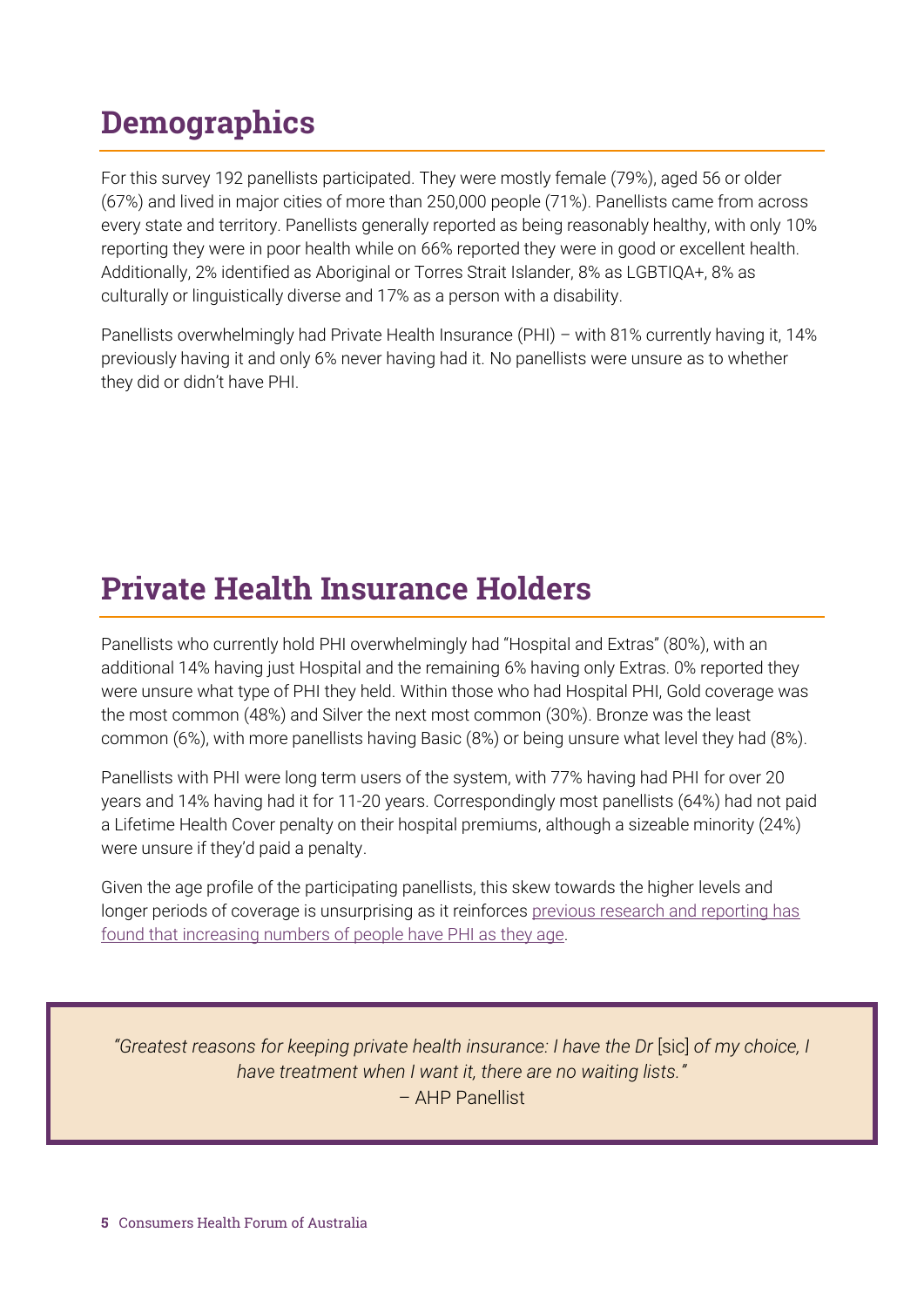## <span id="page-4-0"></span>**Demographics**

For this survey 192 panellists participated. They were mostly female (79%), aged 56 or older (67%) and lived in major cities of more than 250,000 people (71%). Panellists came from across every state and territory. Panellists generally reported as being reasonably healthy, with only 10% reporting they were in poor health while on 66% reported they were in good or excellent health. Additionally, 2% identified as Aboriginal or Torres Strait Islander, 8% as LGBTIQA+, 8% as culturally or linguistically diverse and 17% as a person with a disability.

Panellists overwhelmingly had Private Health Insurance (PHI) *–* with 81% currently having it, 14% previously having it and only 6% never having had it. No panellists were unsure as to whether they did or didn't have PHI.

### <span id="page-4-1"></span>Private Health Insurance Holders

Panellists who currently hold PHI overwhelmingly had "Hospital and Extras" (80%), with an additional 14% having just Hospital and the remaining 6% having only Extras. 0% reported they were unsure what type of PHI they held. Within those who had Hospital PHI, Gold coverage was the most common (48%) and Silver the next most common (30%). Bronze was the least common (6%), with more panellists having Basic (8%) or being unsure what level they had (8%).

Panellists with PHI were long term users of the system, with 77% having had PHI for over 20 years and 14% having had it for 11-20 years. Correspondingly most panellists (64%) had not paid a Lifetime Health Cover penalty on their hospital premiums, although a sizeable minority (24%) were unsure if they'd paid a penalty.

Given the age profile of the participating panellists, this skew towards the higher levels and longer periods of coverage is unsurprising as it reinforces [previous research and reporting has](https://www.aihw.gov.au/reports/australias-health/private-health-insurance)  found that increasing numbers [of people have PHI as they age.](https://www.aihw.gov.au/reports/australias-health/private-health-insurance)

*"Greatest reasons for keeping private health insurance: I have the Dr* [sic] *of my choice, I have treatment when I want it, there are no waiting lists."* – AHP Panellist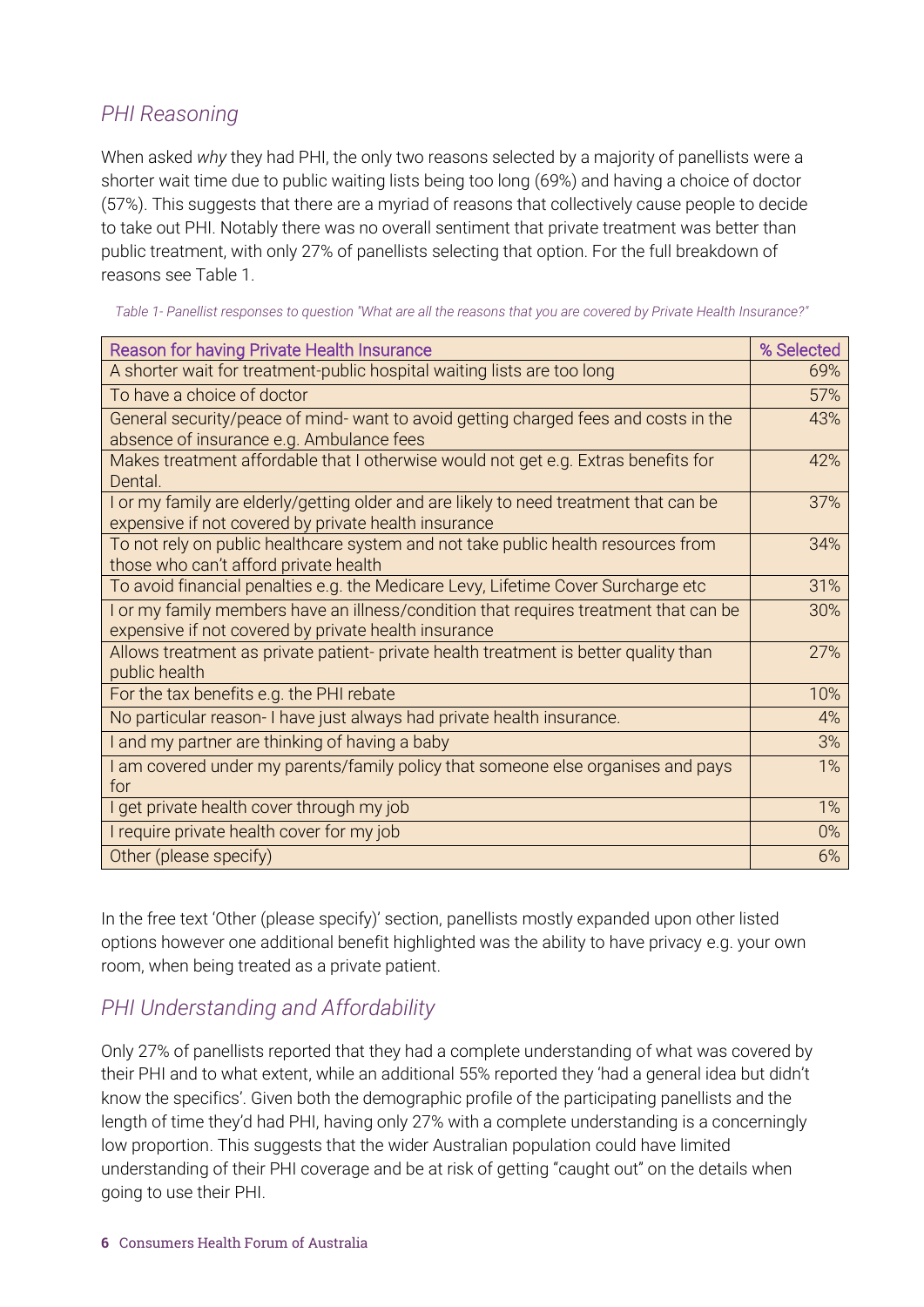### <span id="page-5-0"></span>*PHI Reasoning*

When asked *why* they had PHI, the only two reasons selected by a majority of panellists were a shorter wait time due to public waiting lists being too long (69%) and having a choice of doctor (57%). This suggests that there are a myriad of reasons that collectively cause people to decide to take out PHI. Notably there was no overall sentiment that private treatment was better than public treatment, with only 27% of panellists selecting that option. For the full breakdown of reasons see Table 1.

| Table 1- Panellist responses to question "What are all the reasons that you are covered by Private Health Insurance?" |
|-----------------------------------------------------------------------------------------------------------------------|
|                                                                                                                       |

| <b>Reason for having Private Health Insurance</b>                                                                              | % Selected |
|--------------------------------------------------------------------------------------------------------------------------------|------------|
| A shorter wait for treatment-public hospital waiting lists are too long                                                        | 69%        |
| To have a choice of doctor                                                                                                     | 57%        |
| General security/peace of mind- want to avoid getting charged fees and costs in the                                            | 43%        |
| absence of insurance e.g. Ambulance fees<br>Makes treatment affordable that I otherwise would not get e.g. Extras benefits for | 42%        |
| Dental.                                                                                                                        |            |
| I or my family are elderly/getting older and are likely to need treatment that can be                                          | 37%        |
| expensive if not covered by private health insurance                                                                           |            |
| To not rely on public healthcare system and not take public health resources from                                              | 34%        |
| those who can't afford private health                                                                                          |            |
| To avoid financial penalties e.g. the Medicare Levy, Lifetime Cover Surcharge etc                                              | 31%        |
| I or my family members have an illness/condition that requires treatment that can be                                           | 30%        |
| expensive if not covered by private health insurance                                                                           |            |
| Allows treatment as private patient- private health treatment is better quality than                                           | 27%        |
| public health                                                                                                                  |            |
| For the tax benefits e.g. the PHI rebate                                                                                       | 10%        |
| No particular reason- I have just always had private health insurance.                                                         | 4%         |
| I and my partner are thinking of having a baby                                                                                 | 3%         |
| I am covered under my parents/family policy that someone else organises and pays                                               | 1%         |
| for                                                                                                                            |            |
| I get private health cover through my job                                                                                      | 1%         |
| I require private health cover for my job                                                                                      | $0\%$      |
| Other (please specify)                                                                                                         | 6%         |

In the free text 'Other (please specify)' section, panellists mostly expanded upon other listed options however one additional benefit highlighted was the ability to have privacy e.g. your own room, when being treated as a private patient.

#### <span id="page-5-1"></span>*PHI Understanding and Affordability*

Only 27% of panellists reported that they had a complete understanding of what was covered by their PHI and to what extent, while an additional 55% reported they 'had a general idea but didn't know the specifics'. Given both the demographic profile of the participating panellists and the length of time they'd had PHI, having only 27% with a complete understanding is a concerningly low proportion. This suggests that the wider Australian population could have limited understanding of their PHI coverage and be at risk of getting "caught out" on the details when going to use their PHI.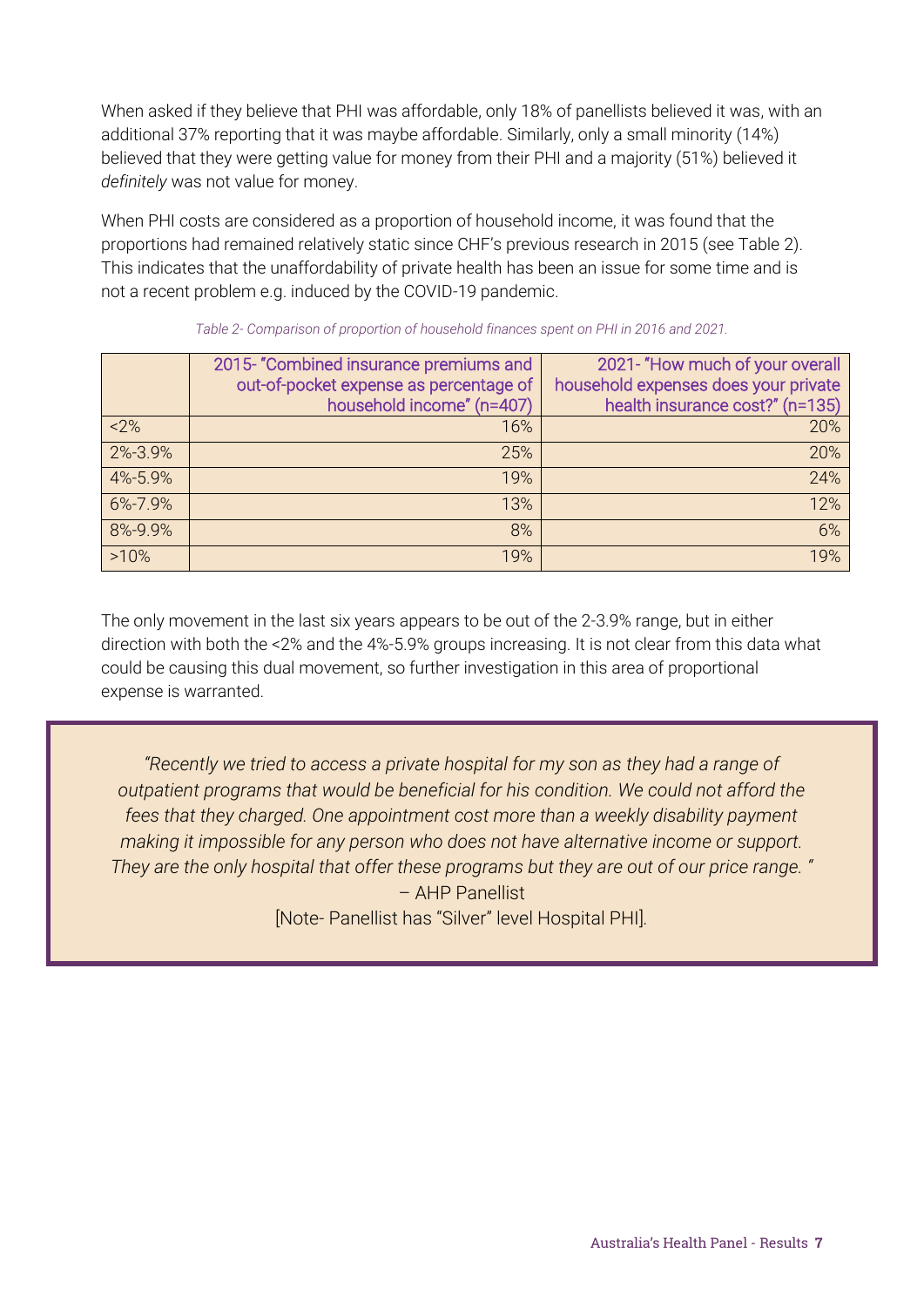When asked if they believe that PHI was affordable, only 18% of panellists believed it was, with an additional 37% reporting that it was maybe affordable. Similarly, only a small minority (14%) believed that they were getting value for money from their PHI and a majority (51%) believed it *definitely* was not value for money.

When PHI costs are considered as a proportion of household income, it was found that the proportions had remained relatively static since CHF's previous research in 2015 (see Table 2). This indicates that the unaffordability of private health has been an issue for some time and is not a recent problem e.g. induced by the COVID-19 pandemic.

|         | 2015- "Combined insurance premiums and | 2021- "How much of your overall      |
|---------|----------------------------------------|--------------------------------------|
|         | out-of-pocket expense as percentage of | household expenses does your private |
|         | household income" (n=407)              | health insurance cost?" (n=135)      |
| $2\%$   | 16%                                    | 20%                                  |
| 2%-3.9% | 25%                                    | 20%                                  |
| 4%-5.9% | 19%                                    | 24%                                  |
| 6%-7.9% | 13%                                    | 12%                                  |
| 8%-9.9% | 8%                                     | 6%                                   |
| >10%    | 19%                                    | 19%                                  |

*Table 2- Comparison of proportion of household finances spent on PHI in 2016 and 2021.*

The only movement in the last six years appears to be out of the 2-3.9% range, but in either direction with both the <2% and the 4%-5.9% groups increasing. It is not clear from this data what could be causing this dual movement, so further investigation in this area of proportional expense is warranted.

*"Recently we tried to access a private hospital for my son as they had a range of outpatient programs that would be beneficial for his condition. We could not afford the fees that they charged. One appointment cost more than a weekly disability payment making it impossible for any person who does not have alternative income or support. They are the only hospital that offer these programs but they are out of our price range. "*  – AHP Panellist [Note- Panellist has "Silver" level Hospital PHI]*.*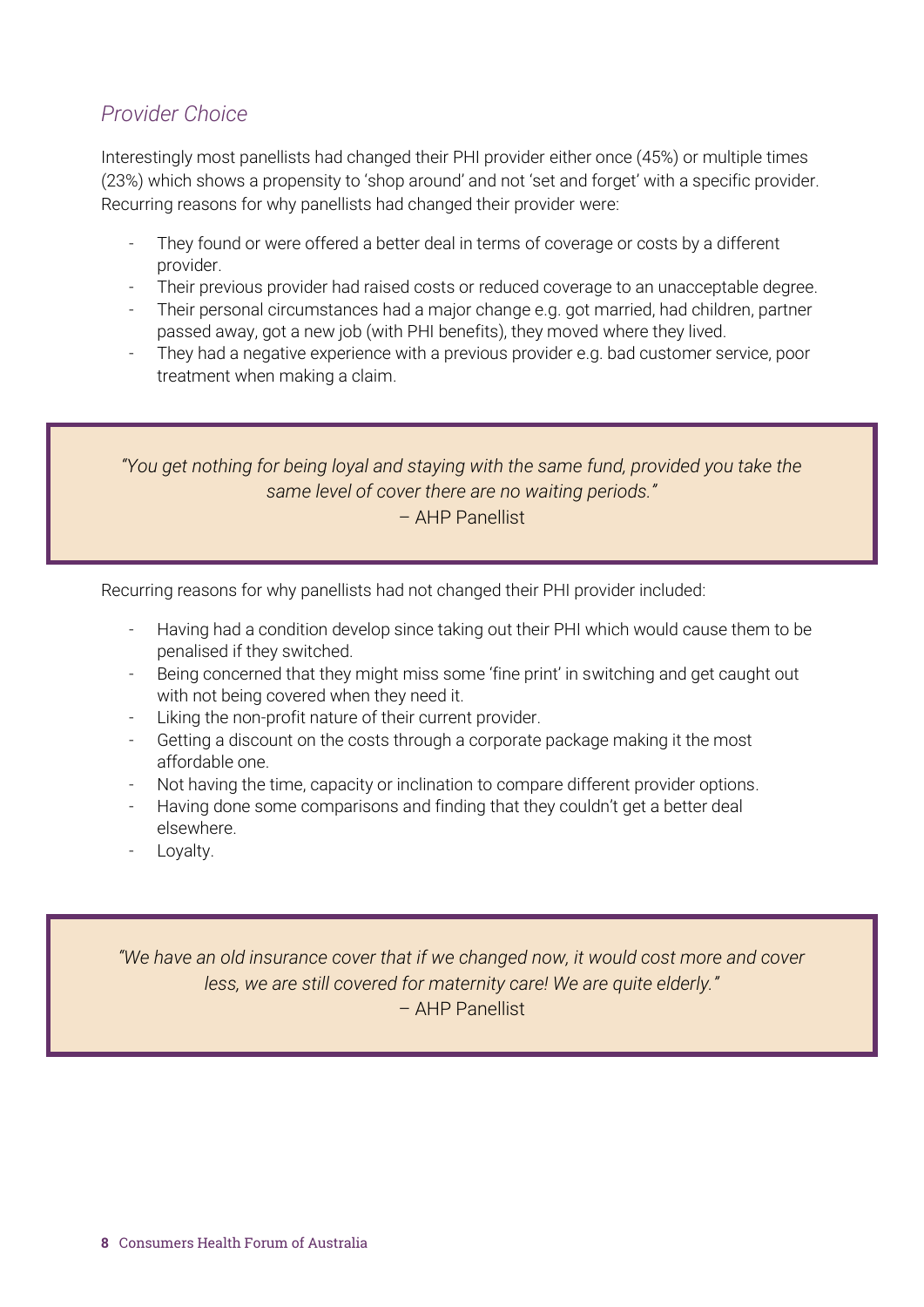### <span id="page-7-0"></span>*Provider Choice*

Interestingly most panellists had changed their PHI provider either once (45%) or multiple times (23%) which shows a propensity to 'shop around' and not 'set and forget' with a specific provider. Recurring reasons for why panellists had changed their provider were:

- They found or were offered a better deal in terms of coverage or costs by a different provider.
- Their previous provider had raised costs or reduced coverage to an unacceptable degree.
- Their personal circumstances had a major change e.g. got married, had children, partner passed away, got a new job (with PHI benefits), they moved where they lived.
- They had a negative experience with a previous provider e.g. bad customer service, poor treatment when making a claim.

*"You get nothing for being loyal and staying with the same fund, provided you take the same level of cover there are no waiting periods."* – AHP Panellist

Recurring reasons for why panellists had not changed their PHI provider included:

- Having had a condition develop since taking out their PHI which would cause them to be penalised if they switched.
- Being concerned that they might miss some 'fine print' in switching and get caught out with not being covered when they need it.
- Liking the non-profit nature of their current provider.
- Getting a discount on the costs through a corporate package making it the most affordable one.
- Not having the time, capacity or inclination to compare different provider options.
- Having done some comparisons and finding that they couldn't get a better deal elsewhere.
- Loyalty.

*"We have an old insurance cover that if we changed now, it would cost more and cover less, we are still covered for maternity care! We are quite elderly."* – AHP Panellist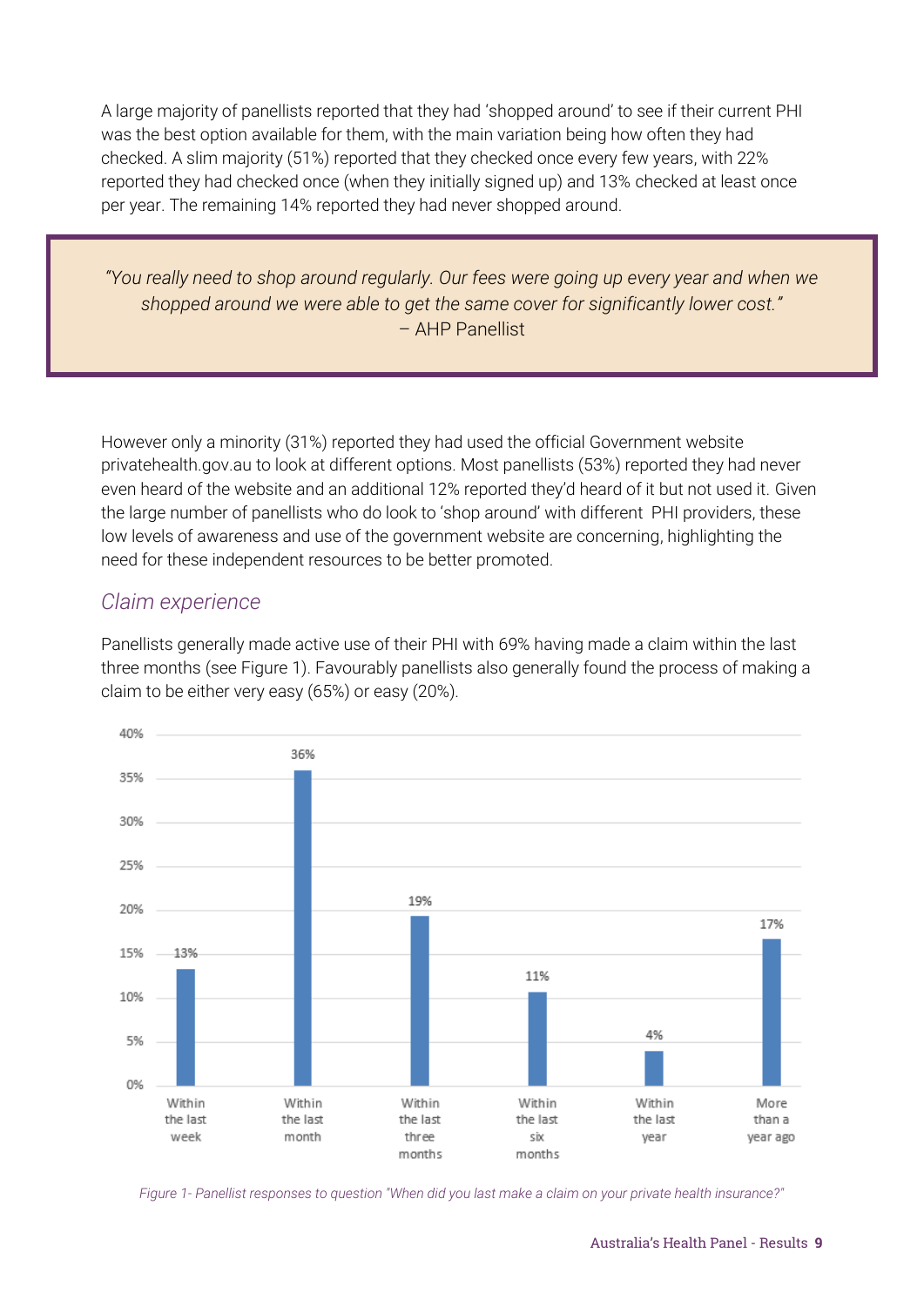A large majority of panellists reported that they had 'shopped around' to see if their current PHI was the best option available for them, with the main variation being how often they had checked. A slim majority (51%) reported that they checked once every few years, with 22% reported they had checked once (when they initially signed up) and 13% checked at least once per year. The remaining 14% reported they had never shopped around.

*"You really need to shop around regularly. Our fees were going up every year and when we shopped around we were able to get the same cover for significantly lower cost."* – AHP Panellist

However only a minority (31%) reported they had used the official Government website privatehealth.gov.au to look at different options. Most panellists (53%) reported they had never even heard of the website and an additional 12% reported they'd heard of it but not used it. Given the large number of panellists who do look to 'shop around' with different PHI providers, these low levels of awareness and use of the government website are concerning, highlighting the need for these independent resources to be better promoted.

#### <span id="page-8-0"></span>*Claim experience*

Panellists generally made active use of their PHI with 69% having made a claim within the last three months (see Figure 1). Favourably panellists also generally found the process of making a claim to be either very easy (65%) or easy (20%).



*Figure 1- Panellist responses to question "When did you last make a claim on your private health insurance?"*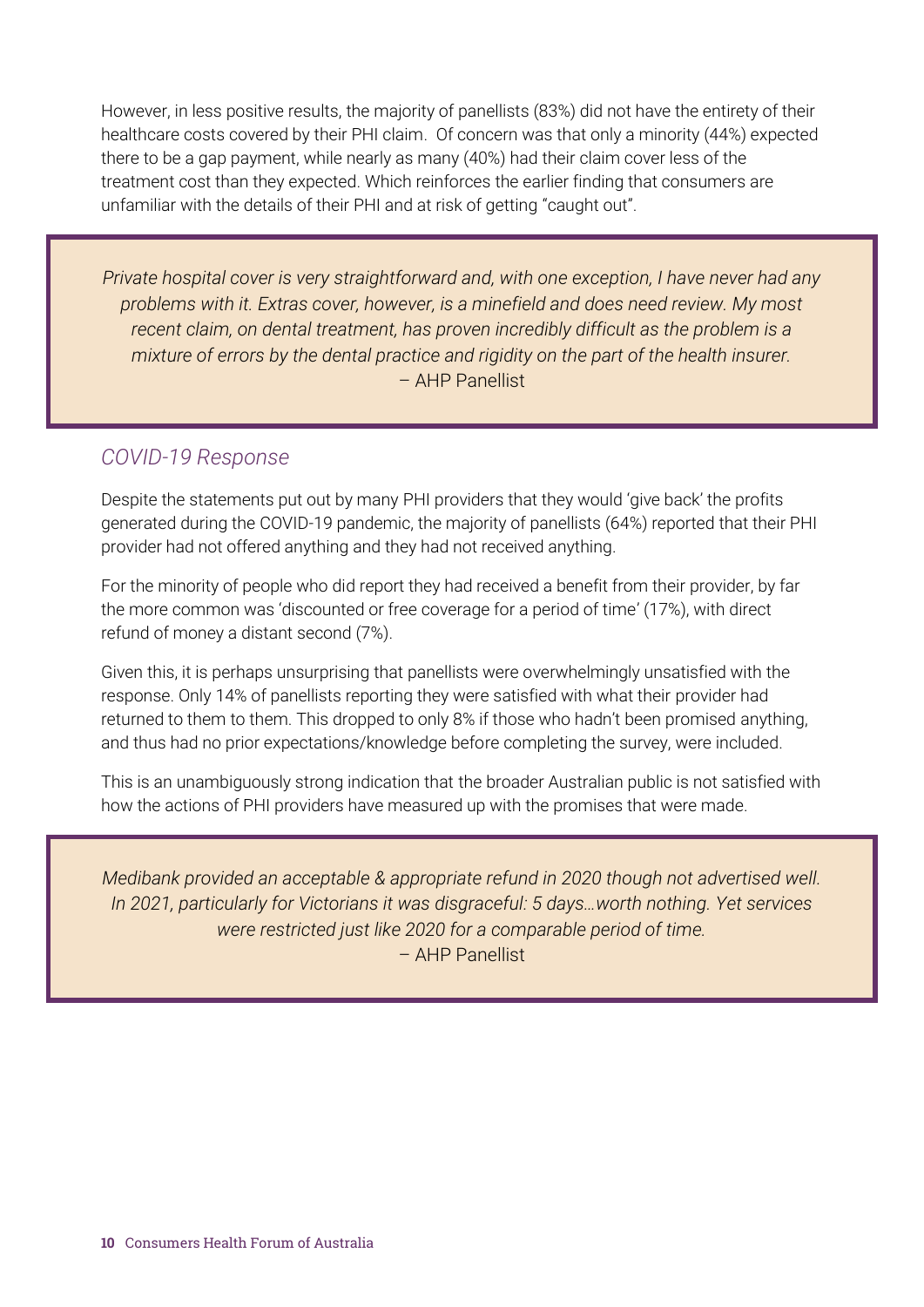However, in less positive results, the majority of panellists (83%) did not have the entirety of their healthcare costs covered by their PHI claim. Of concern was that only a minority (44%) expected there to be a gap payment, while nearly as many (40%) had their claim cover less of the treatment cost than they expected. Which reinforces the earlier finding that consumers are unfamiliar with the details of their PHI and at risk of getting "caught out".

*Private hospital cover is very straightforward and, with one exception, I have never had any problems with it. Extras cover, however, is a minefield and does need review. My most recent claim, on dental treatment, has proven incredibly difficult as the problem is a mixture of errors by the dental practice and rigidity on the part of the health insurer.* – AHP Panellist

### <span id="page-9-0"></span>*COVID-19 Response*

Despite the statements put out by many PHI providers that they would 'give back' the profits generated during the COVID-19 pandemic, the majority of panellists (64%) reported that their PHI provider had not offered anything and they had not received anything.

For the minority of people who did report they had received a benefit from their provider, by far the more common was 'discounted or free coverage for a period of time' (17%), with direct refund of money a distant second (7%).

Given this, it is perhaps unsurprising that panellists were overwhelmingly unsatisfied with the response. Only 14% of panellists reporting they were satisfied with what their provider had returned to them to them. This dropped to only 8% if those who hadn't been promised anything, and thus had no prior expectations/knowledge before completing the survey, were included.

This is an unambiguously strong indication that the broader Australian public is not satisfied with how the actions of PHI providers have measured up with the promises that were made.

*Medibank provided an acceptable & appropriate refund in 2020 though not advertised well. In 2021, particularly for Victorians it was disgraceful: 5 days…worth nothing. Yet services were restricted just like 2020 for a comparable period of time.* – AHP Panellist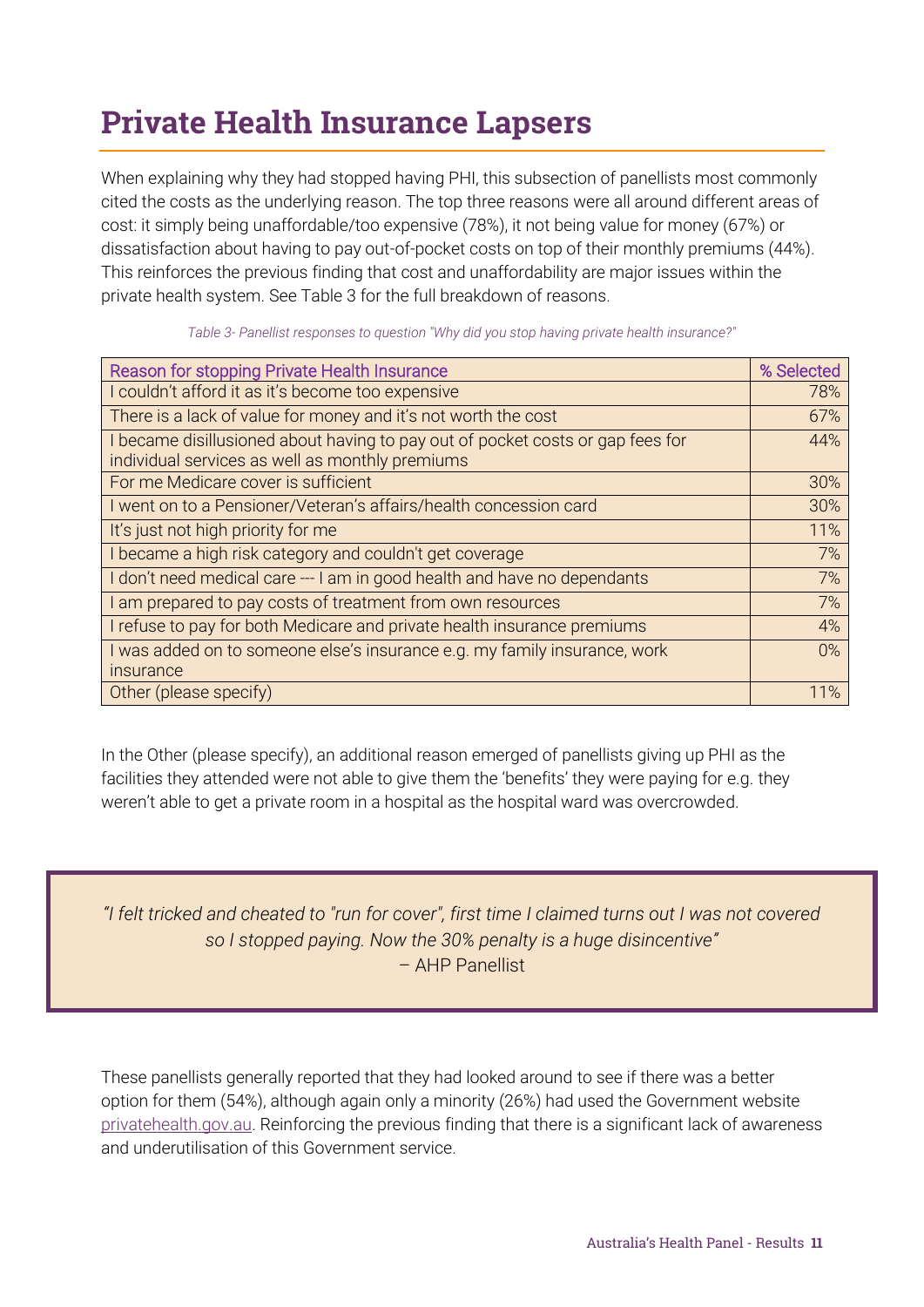# <span id="page-10-0"></span>Private Health Insurance Lapsers

When explaining why they had stopped having PHI, this subsection of panellists most commonly cited the costs as the underlying reason. The top three reasons were all around different areas of cost: it simply being unaffordable/too expensive (78%), it not being value for money (67%) or dissatisfaction about having to pay out-of-pocket costs on top of their monthly premiums (44%). This reinforces the previous finding that cost and unaffordability are major issues within the private health system. See Table 3 for the full breakdown of reasons.

| Reason for stopping Private Health Insurance                                   | % Selected |
|--------------------------------------------------------------------------------|------------|
| I couldn't afford it as it's become too expensive                              | 78%        |
| There is a lack of value for money and it's not worth the cost                 | 67%        |
| I became disillusioned about having to pay out of pocket costs or gap fees for | 44%        |
| individual services as well as monthly premiums                                |            |
| For me Medicare cover is sufficient                                            | 30%        |
| I went on to a Pensioner/Veteran's affairs/health concession card              | 30%        |
| It's just not high priority for me                                             | 11%        |
| I became a high risk category and couldn't get coverage                        | 7%         |
| I don't need medical care --- I am in good health and have no dependants       | 7%         |
| I am prepared to pay costs of treatment from own resources                     | 7%         |
| I refuse to pay for both Medicare and private health insurance premiums        | 4%         |
| I was added on to someone else's insurance e.g. my family insurance, work      | $0\%$      |
| insurance                                                                      |            |
| Other (please specify)                                                         | 11%        |

*Table 3- Panellist responses to question "Why did you stop having private health insurance?"*

In the Other (please specify), an additional reason emerged of panellists giving up PHI as the facilities they attended were not able to give them the 'benefits' they were paying for e.g. they weren't able to get a private room in a hospital as the hospital ward was overcrowded.

*"I felt tricked and cheated to "run for cover", first time I claimed turns out I was not covered so I stopped paying. Now the 30% penalty is a huge disincentive"* – AHP Panellist

These panellists generally reported that they had looked around to see if there was a better option for them (54%), although again only a minority (26%) had used the Government website [privatehealth.gov.au.](https://consumerhealthforum.sharepoint.com/sites/PolicyTeam2/Data%20%20Research/Australia) Reinforcing the previous finding that there is a significant lack of awareness and underutilisation of this Government service.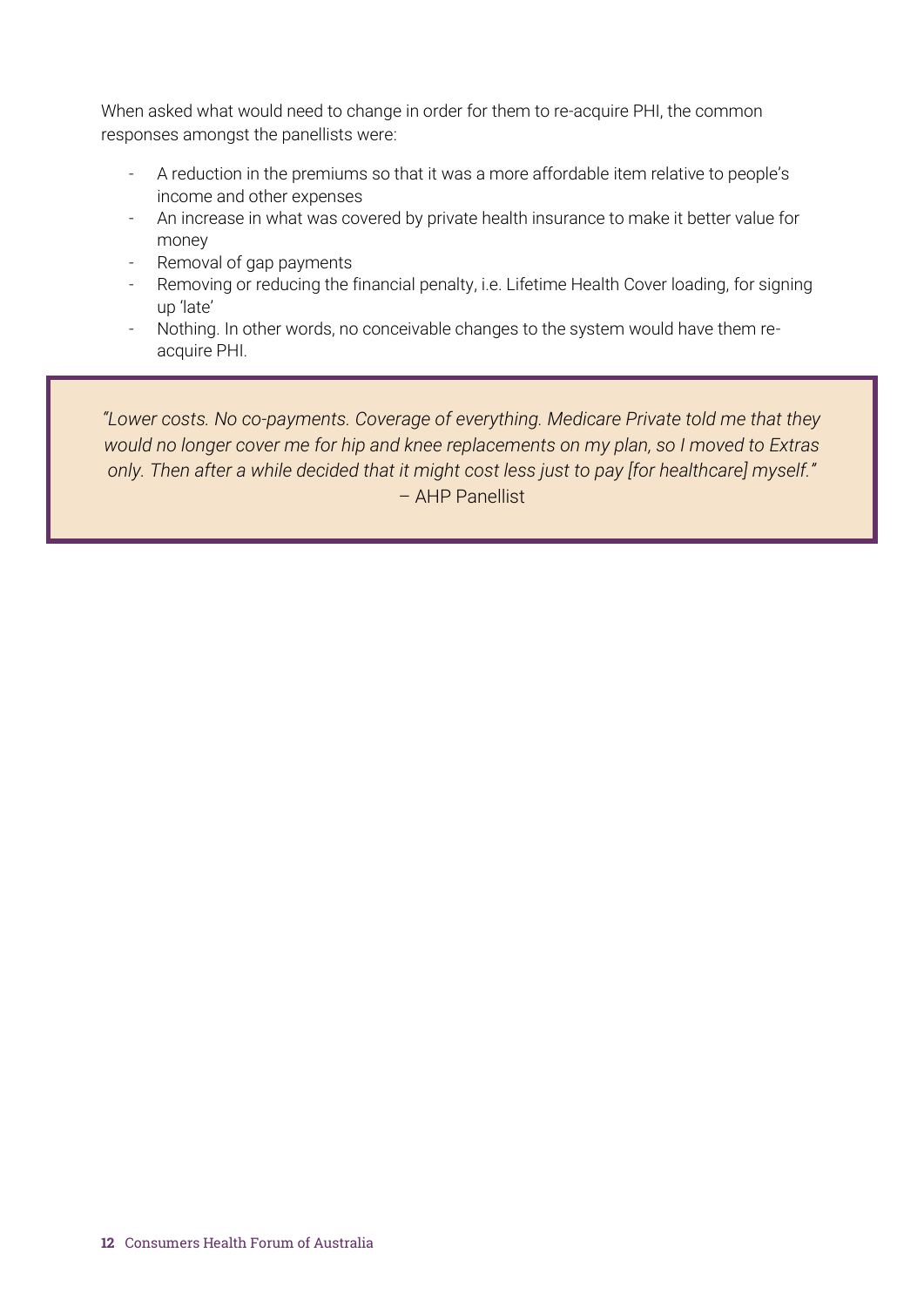When asked what would need to change in order for them to re-acquire PHI, the common responses amongst the panellists were:

- A reduction in the premiums so that it was a more affordable item relative to people's income and other expenses
- An increase in what was covered by private health insurance to make it better value for money
- Removal of gap payments
- Removing or reducing the financial penalty, i.e. Lifetime Health Cover loading, for signing up 'late'
- Nothing. In other words, no conceivable changes to the system would have them reacquire PHI.

*"Lower costs. No co-payments. Coverage of everything. Medicare Private told me that they would no longer cover me for hip and knee replacements on my plan, so I moved to Extras only. Then after a while decided that it might cost less just to pay [for healthcare] myself."* – AHP Panellist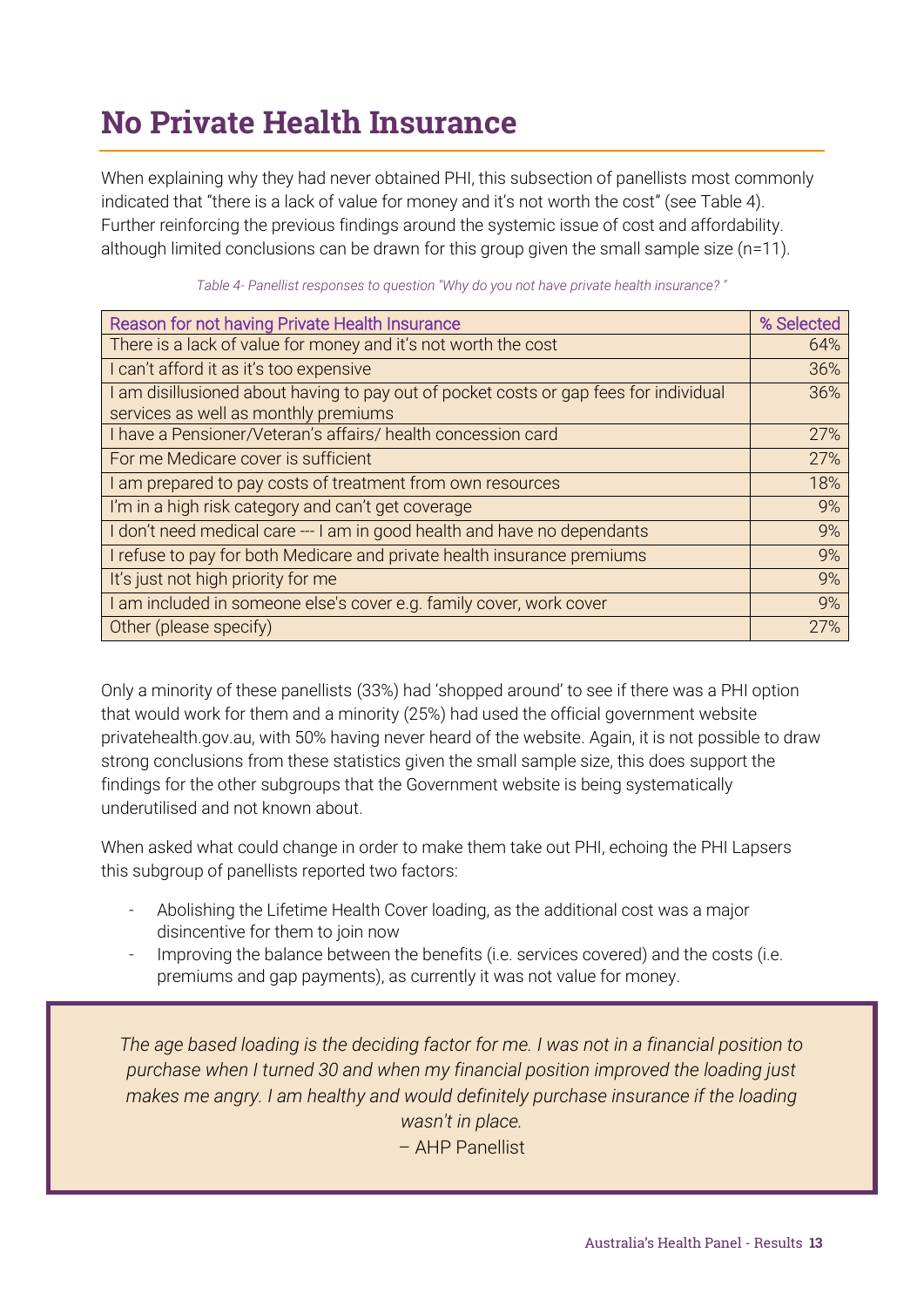# <span id="page-12-0"></span>No Private Health Insurance

When explaining why they had never obtained PHI, this subsection of panellists most commonly indicated that "there is a lack of value for money and it's not worth the cost" (see Table 4). Further reinforcing the previous findings around the systemic issue of cost and affordability. although limited conclusions can be drawn for this group given the small sample size (n=11).

| Reason for not having Private Health Insurance                                                                                | % Selected |
|-------------------------------------------------------------------------------------------------------------------------------|------------|
| There is a lack of value for money and it's not worth the cost                                                                | 64%        |
| I can't afford it as it's too expensive                                                                                       | 36%        |
| I am disillusioned about having to pay out of pocket costs or gap fees for individual<br>services as well as monthly premiums | 36%        |
| I have a Pensioner/Veteran's affairs/ health concession card                                                                  | 27%        |
| For me Medicare cover is sufficient                                                                                           | 27%        |
| I am prepared to pay costs of treatment from own resources                                                                    | 18%        |
| I'm in a high risk category and can't get coverage                                                                            | 9%         |
| I don't need medical care --- I am in good health and have no dependants                                                      | 9%         |
| I refuse to pay for both Medicare and private health insurance premiums                                                       | 9%         |
| It's just not high priority for me                                                                                            | 9%         |
| I am included in someone else's cover e.g. family cover, work cover                                                           | 9%         |
| Other (please specify)                                                                                                        | 27%        |

*Table 4- Panellist responses to question "Why do you not have private health insurance? "*

Only a minority of these panellists (33%) had 'shopped around' to see if there was a PHI option that would work for them and a minority (25%) had used the official government website privatehealth.gov.au, with 50% having never heard of the website. Again, it is not possible to draw strong conclusions from these statistics given the small sample size, this does support the findings for the other subgroups that the Government website is being systematically underutilised and not known about.

When asked what could change in order to make them take out PHI, echoing the PHI Lapsers this subgroup of panellists reported two factors:

- Abolishing the Lifetime Health Cover loading, as the additional cost was a major disincentive for them to join now
- Improving the balance between the benefits (i.e. services covered) and the costs (i.e. premiums and gap payments), as currently it was not value for money.

*The age based loading is the deciding factor for me. I was not in a financial position to purchase when I turned 30 and when my financial position improved the loading just makes me angry. I am healthy and would definitely purchase insurance if the loading wasn't in place.* – AHP Panellist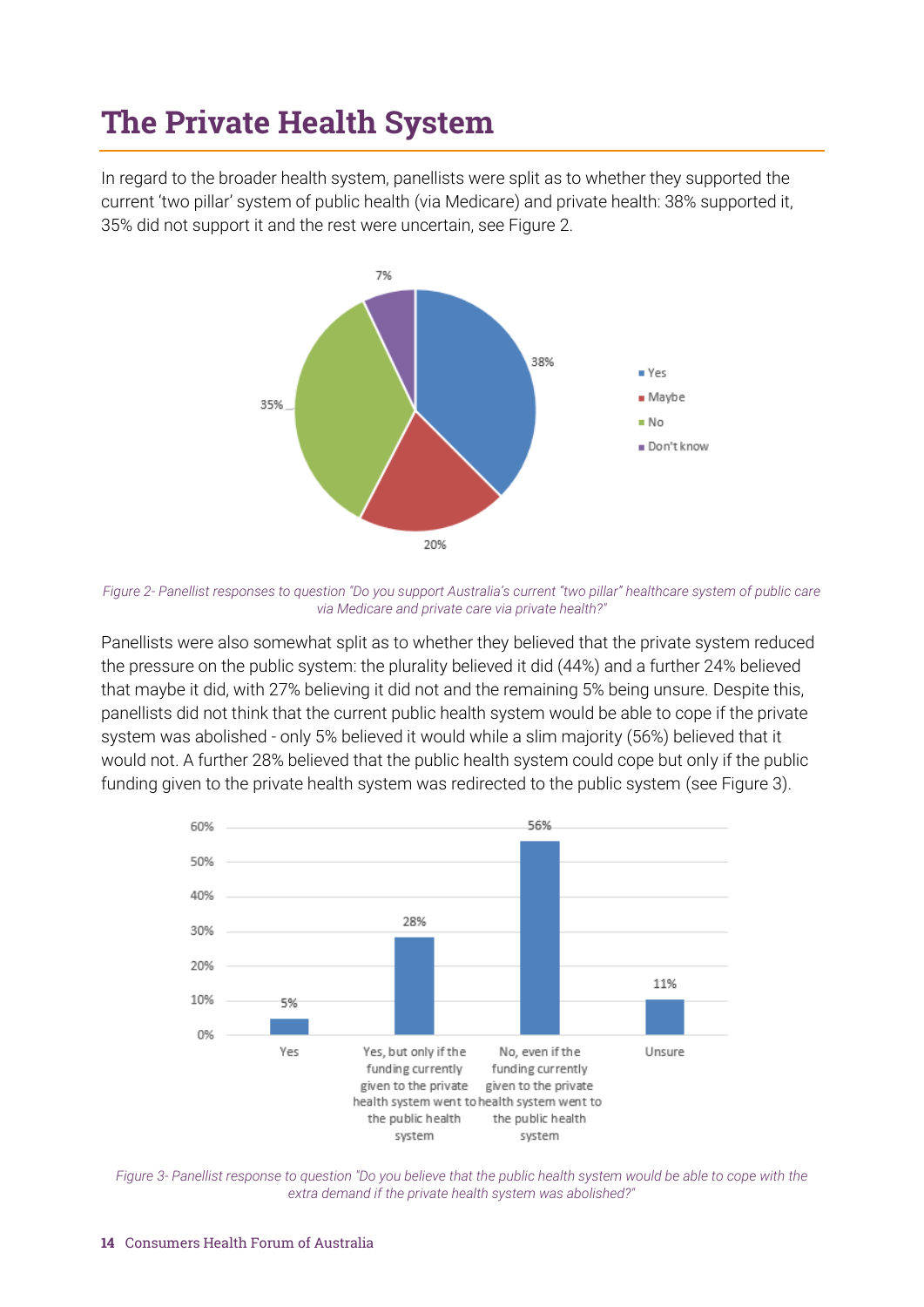## <span id="page-13-0"></span>The Private Health System

In regard to the broader health system, panellists were split as to whether they supported the current 'two pillar' system of public health (via Medicare) and private health: 38% supported it, 35% did not support it and the rest were uncertain, see Figure 2.



*Figure 2- Panellist responses to question "Do you support Australia's current "two pillar" healthcare system of public care via Medicare and private care via private health?"*

Panellists were also somewhat split as to whether they believed that the private system reduced the pressure on the public system: the plurality believed it did (44%) and a further 24% believed that maybe it did, with 27% believing it did not and the remaining 5% being unsure. Despite this, panellists did not think that the current public health system would be able to cope if the private system was abolished - only 5% believed it would while a slim majority (56%) believed that it would not. A further 28% believed that the public health system could cope but only if the public funding given to the private health system was redirected to the public system (see Figure 3).



*Figure 3- Panellist response to question "Do you believe that the public health system would be able to cope with the extra demand if the private health system was abolished?"*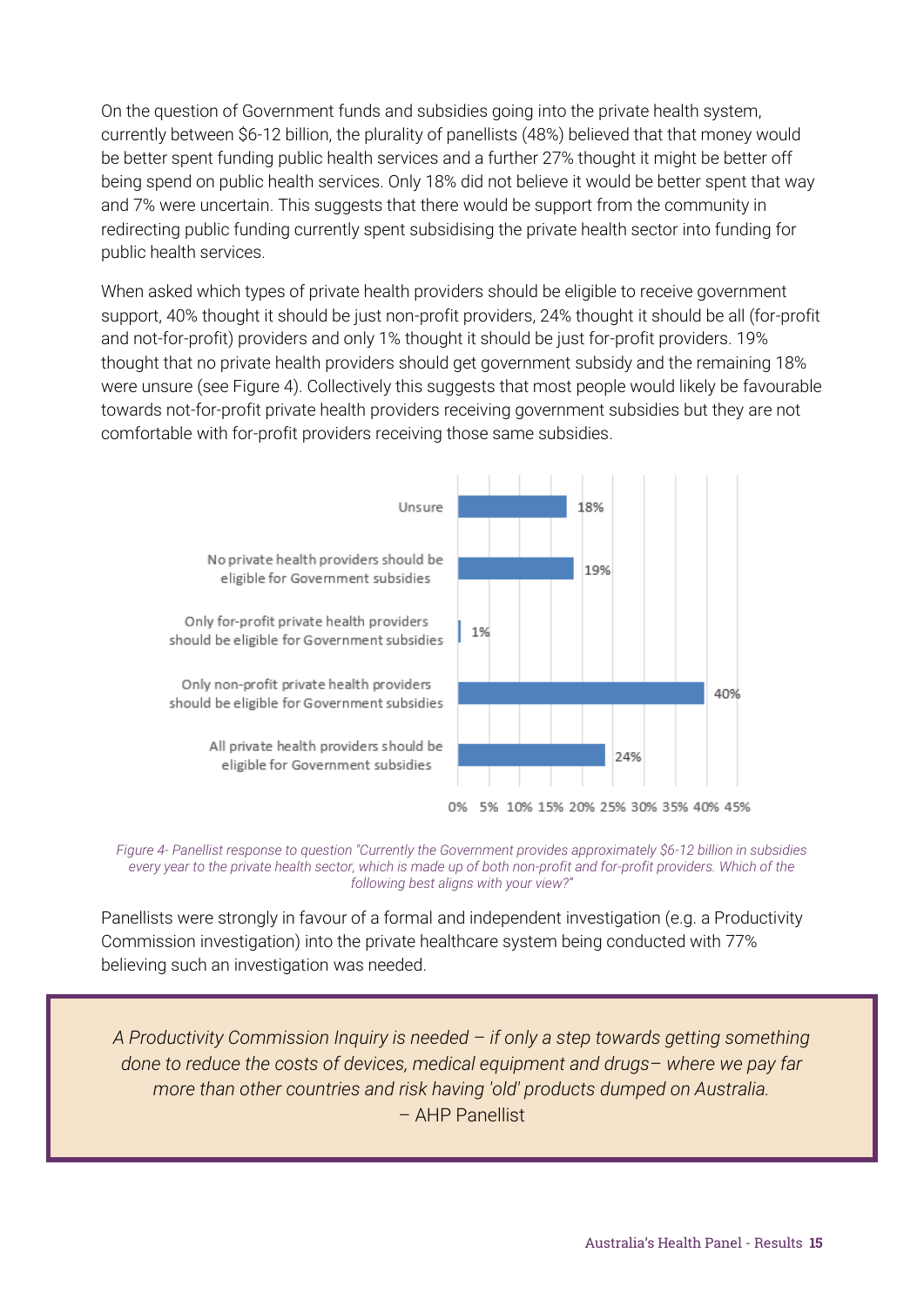On the question of Government funds and subsidies going into the private health system, currently between \$6-12 billion, the plurality of panellists (48%) believed that that money would be better spent funding public health services and a further 27% thought it might be better off being spend on public health services. Only 18% did not believe it would be better spent that way and 7% were uncertain. This suggests that there would be support from the community in redirecting public funding currently spent subsidising the private health sector into funding for public health services.

When asked which types of private health providers should be eligible to receive government support, 40% thought it should be just non-profit providers, 24% thought it should be all (for-profit and not-for-profit) providers and only 1% thought it should be just for-profit providers. 19% thought that no private health providers should get government subsidy and the remaining 18% were unsure (see Figure 4). Collectively this suggests that most people would likely be favourable towards not-for-profit private health providers receiving government subsidies but they are not comfortable with for-profit providers receiving those same subsidies.



*Figure 4- Panellist response to question "Currently the Government provides approximately \$6-12 billion in subsidies every year to the private health sector, which is made up of both non-profit and for-profit providers. Which of the following best aligns with your view?"*

Panellists were strongly in favour of a formal and independent investigation (e.g. a Productivity Commission investigation) into the private healthcare system being conducted with 77% believing such an investigation was needed.

*A Productivity Commission Inquiry is needed* – *if only a step towards getting something done to reduce the costs of devices, medical equipment and drugs*– *where we pay far more than other countries and risk having 'old' products dumped on Australia.* – AHP Panellist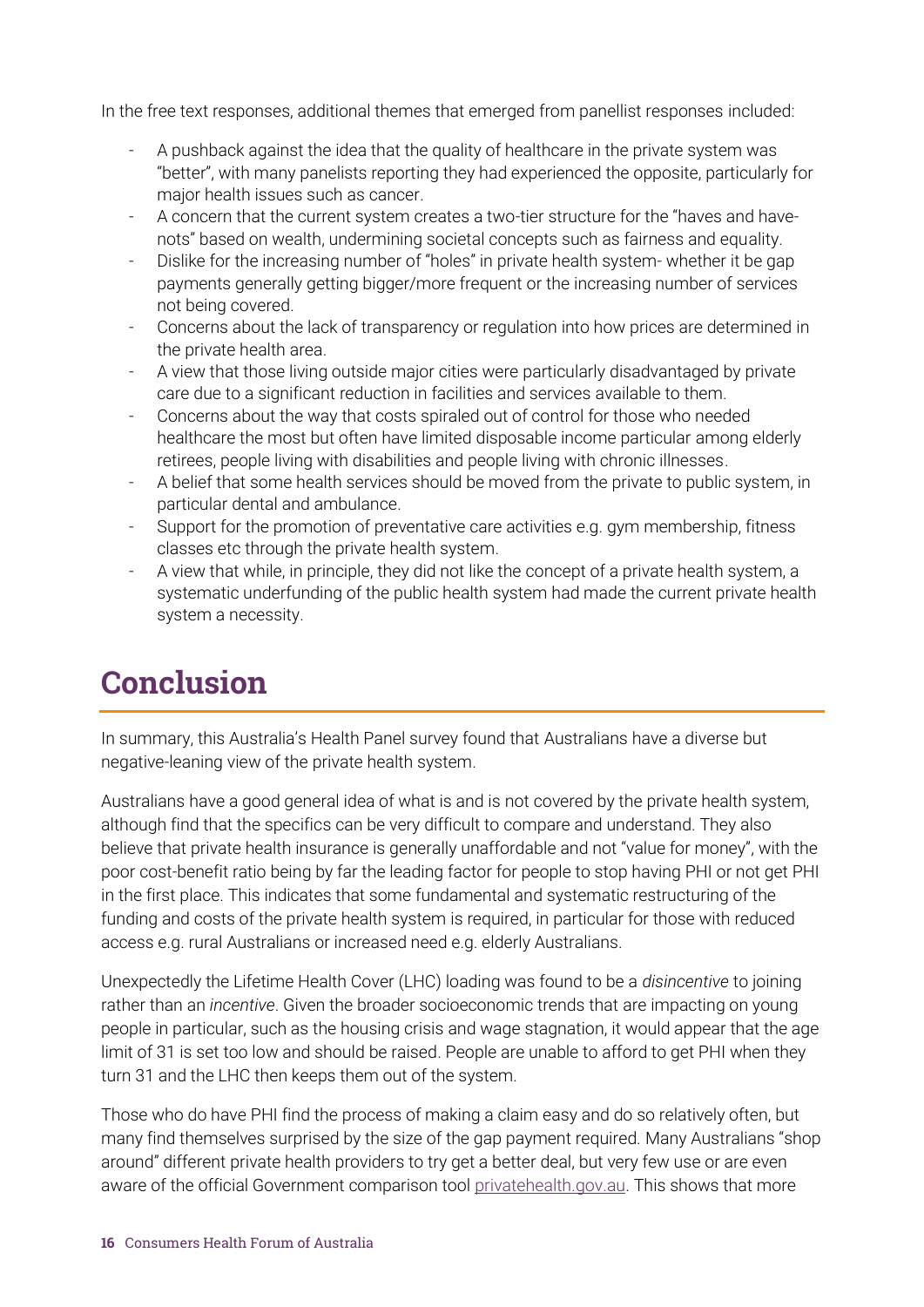In the free text responses, additional themes that emerged from panellist responses included:

- A pushback against the idea that the quality of healthcare in the private system was "better", with many panelists reporting they had experienced the opposite, particularly for major health issues such as cancer.
- A concern that the current system creates a two-tier structure for the "haves and havenots" based on wealth, undermining societal concepts such as fairness and equality.
- Dislike for the increasing number of "holes" in private health system- whether it be gap payments generally getting bigger/more frequent or the increasing number of services not being covered.
- Concerns about the lack of transparency or regulation into how prices are determined in the private health area.
- A view that those living outside major cities were particularly disadvantaged by private care due to a significant reduction in facilities and services available to them.
- Concerns about the way that costs spiraled out of control for those who needed healthcare the most but often have limited disposable income particular among elderly retirees, people living with disabilities and people living with chronic illnesses.
- A belief that some health services should be moved from the private to public system, in particular dental and ambulance.
- Support for the promotion of preventative care activities e.g. gym membership, fitness classes etc through the private health system.
- A view that while, in principle, they did not like the concept of a private health system, a systematic underfunding of the public health system had made the current private health system a necessity.

## <span id="page-15-0"></span>**Conclusion**

In summary, this Australia's Health Panel survey found that Australians have a diverse but negative-leaning view of the private health system.

Australians have a good general idea of what is and is not covered by the private health system, although find that the specifics can be very difficult to compare and understand. They also believe that private health insurance is generally unaffordable and not "value for money", with the poor cost-benefit ratio being by far the leading factor for people to stop having PHI or not get PHI in the first place. This indicates that some fundamental and systematic restructuring of the funding and costs of the private health system is required, in particular for those with reduced access e.g. rural Australians or increased need e.g. elderly Australians.

Unexpectedly the Lifetime Health Cover (LHC) loading was found to be a *disincentive* to joining rather than an *incentive*. Given the broader socioeconomic trends that are impacting on young people in particular, such as the housing crisis and wage stagnation, it would appear that the age limit of 31 is set too low and should be raised. People are unable to afford to get PHI when they turn 31 and the LHC then keeps them out of the system.

Those who do have PHI find the process of making a claim easy and do so relatively often, but many find themselves surprised by the size of the gap payment required. Many Australians "shop around" different private health providers to try get a better deal, but very few use or are even aware of the official Government comparison tool [privatehealth.gov.au.](privatehealth.gov.au) This shows that more